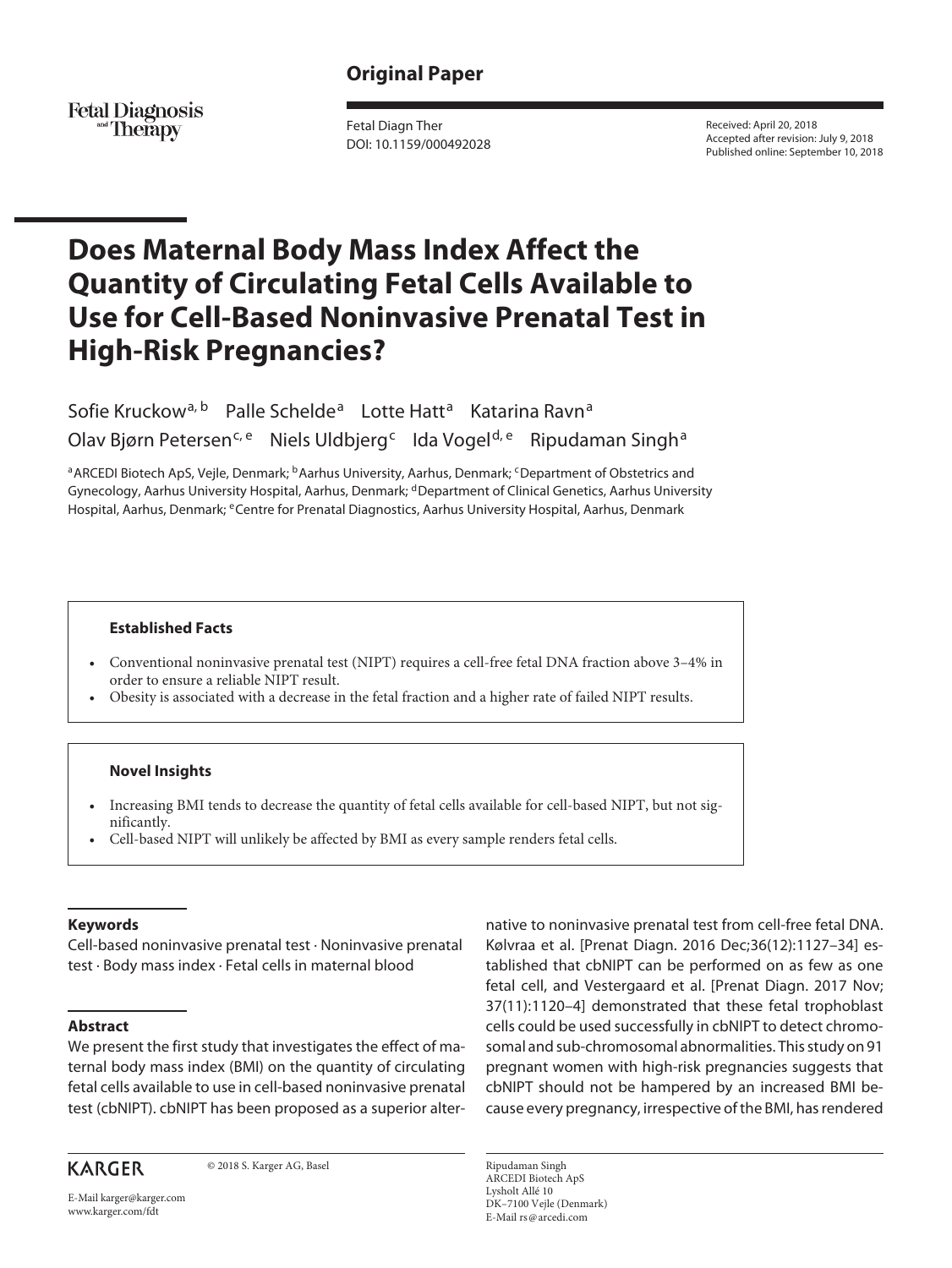## **Original Paper**

Fetal Diagnosis<br>Therapy

Fetal Diagn Ther DOI: 10.1159/000492028 Received: April 20, 2018 Accepted after revision: July 9, 2018 Published online: September 10, 2018

# **Does Maternal Body Mass Index Affect the Quantity of Circulating Fetal Cells Available to Use for Cell-Based Noninvasive Prenatal Test in High-Risk Pregnancies?**

Sofie Kruckow<sup>a, b</sup> Palle Schelde<sup>a</sup> Lotte Hatt<sup>a</sup> Katarina Ravn<sup>a</sup> Olav Bjørn Petersen<sup>c, e</sup> Niels Uldbjerg<sup>c</sup> Ida Vogel<sup>d, e</sup> Ripudaman Singh<sup>a</sup>

a ARCEDI Biotech ApS, Veile, Denmark; **bAarhus University, Aarhus, Denmark**; <sup>c</sup>Department of Obstetrics and Gynecology, Aarhus University Hospital, Aarhus, Denmark; <sup>d</sup>Department of Clinical Genetics, Aarhus University Hospital, Aarhus, Denmark; eCentre for Prenatal Diagnostics, Aarhus University Hospital, Aarhus, Denmark

#### **Established Facts**

- Conventional noninvasive prenatal test (NIPT) requires a cell-free fetal DNA fraction above 3–4% in order to ensure a reliable NIPT result.
- Obesity is associated with a decrease in the fetal fraction and a higher rate of failed NIPT results.

#### **Novel Insights**

- Increasing BMI tends to decrease the quantity of fetal cells available for cell-based NIPT, but not significantly.
- Cell-based NIPT will unlikely be affected by BMI as every sample renders fetal cells.

#### **Keywords**

Cell-based noninvasive prenatal test · Noninvasive prenatal test · Body mass index · Fetal cells in maternal blood

#### **Abstract**

We present the first study that investigates the effect of maternal body mass index (BMI) on the quantity of circulating fetal cells available to use in cell-based noninvasive prenatal test (cbNIPT). cbNIPT has been proposed as a superior alter-

**KARGER** 

© 2018 S. Karger AG, Basel

E-Mail karger@karger.com www.karger.com/fdt

native to noninvasive prenatal test from cell-free fetal DNA. Kølvraa et al. [Prenat Diagn. 2016 Dec;36(12):1127–34] established that cbNIPT can be performed on as few as one fetal cell, and Vestergaard et al. [Prenat Diagn. 2017 Nov; 37(11):1120–4] demonstrated that these fetal trophoblast cells could be used successfully in cbNIPT to detect chromosomal and sub-chromosomal abnormalities. This study on 91 pregnant women with high-risk pregnancies suggests that cbNIPT should not be hampered by an increased BMI because every pregnancy, irrespective of the BMI, has rendered

Ripudaman Singh ARCEDI Biotech ApS Lysholt Allé 10 DK–7100 Vejle (Denmark) E-Mail rs@arcedi.com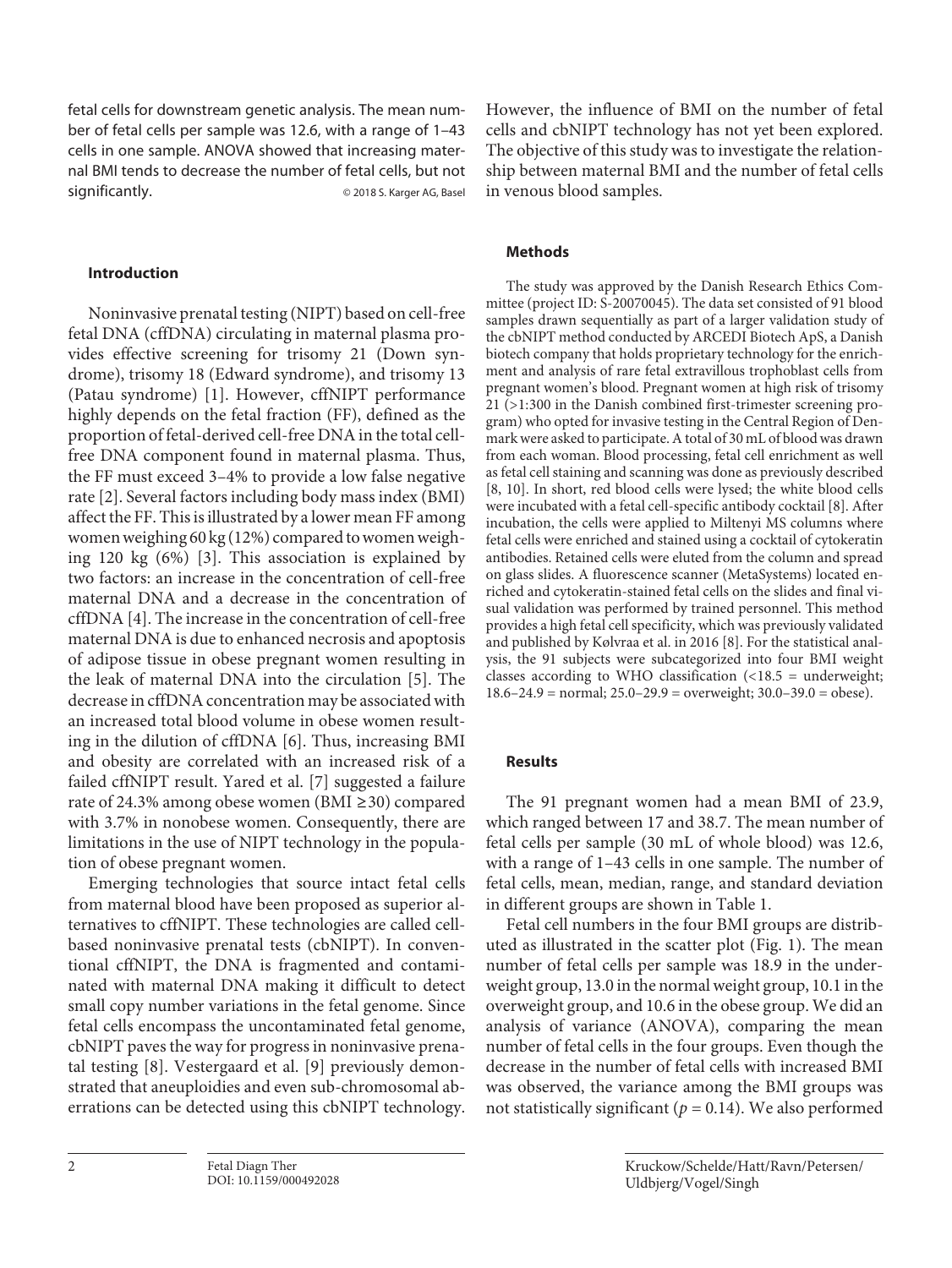fetal cells for downstream genetic analysis. The mean number of fetal cells per sample was 12.6, with a range of 1–43 cells in one sample. ANOVA showed that increasing maternal BMI tends to decrease the number of fetal cells, but not significantly. © 2018 S. Karger AG, Basel

#### **Introduction**

<span id="page-1-1"></span><span id="page-1-0"></span>Noninvasive prenatal testing (NIPT) based on cell-free fetal DNA (cffDNA) circulating in maternal plasma provides effective screening for trisomy 21 (Down syndrome), trisomy 18 (Edward syndrome), and trisomy 13 (Patau syndrome) [[1\]](#page-3-0). However, cffNIPT performance highly depends on the fetal fraction (FF), defined as the proportion of fetal-derived cell-free DNA in the total cellfree DNA component found in maternal plasma. Thus, the FF must exceed 3–4% to provide a low false negative rate [\[2\]](#page-3-1). Several factors including body mass index (BMI) affect the FF. This is illustrated by a lower mean FF among women weighing 60 kg (12%) compared to women weighing 120 kg (6%) [\[3](#page-3-2)]. This association is explained by two factors: an increase in the concentration of cell-free maternal DNA and a decrease in the concentration of cffDNA [\[4\]](#page-3-3). The increase in the concentration of cell-free maternal DNA is due to enhanced necrosis and apoptosis of adipose tissue in obese pregnant women resulting in the leak of maternal DNA into the circulation [[5](#page-3-4)]. The decrease in cffDNA concentration may be associated with an increased total blood volume in obese women resulting in the dilution of cffDNA [\[6\]](#page-3-5). Thus, increasing BMI and obesity are correlated with an increased risk of a failed cffNIPT result. Yared et al. [[7](#page-3-6)] suggested a failure rate of 24.3% among obese women (BMI ≥30) compared with 3.7% in nonobese women. Consequently, there are limitations in the use of NIPT technology in the population of obese pregnant women.

Emerging technologies that source intact fetal cells from maternal blood have been proposed as superior alternatives to cffNIPT. These technologies are called cellbased noninvasive prenatal tests (cbNIPT). In conventional cffNIPT, the DNA is fragmented and contaminated with maternal DNA making it difficult to detect small copy number variations in the fetal genome. Since fetal cells encompass the uncontaminated fetal genome, cbNIPT paves the way for progress in noninvasive prenatal testing [[8](#page-3-7)]. Vestergaard et al. [\[9\]](#page-3-8) previously demonstrated that aneuploidies and even sub-chromosomal aberrations can be detected using this cbNIPT technology.

However, the influence of BMI on the number of fetal cells and cbNIPT technology has not yet been explored. The objective of this study was to investigate the relationship between maternal BMI and the number of fetal cells in venous blood samples.

#### **Methods**

The study was approved by the Danish Research Ethics Committee (project ID: S-20070045). The data set consisted of 91 blood samples drawn sequentially as part of a larger validation study of the cbNIPT method conducted by ARCEDI Biotech ApS, a Danish biotech company that holds proprietary technology for the enrichment and analysis of rare fetal extravillous trophoblast cells from pregnant women's blood. Pregnant women at high risk of trisomy 21 (>1:300 in the Danish combined first-trimester screening program) who opted for invasive testing in the Central Region of Denmark were asked to participate. A total of 30 mL of blood was drawn from each woman. Blood processing, fetal cell enrichment as well as fetal cell staining and scanning was done as previously described [\[8,](#page-3-7) [1](#page-3-0)0]. In short, red blood cells were lysed; the white blood cells were incubated with a fetal cell-specific antibody cocktail [\[8\]](#page-3-7). After incubation, the cells were applied to Miltenyi MS columns where fetal cells were enriched and stained using a cocktail of cytokeratin antibodies. Retained cells were eluted from the column and spread on glass slides. A fluorescence scanner (MetaSystems) located enriched and cytokeratin-stained fetal cells on the slides and final visual validation was performed by trained personnel. This method provides a high fetal cell specificity, which was previously validated and published by Kølvraa et al. in 2016 [\[8\]](#page-3-7). For the statistical analysis, the 91 subjects were subcategorized into four BMI weight classes according to WHO classification  $\langle$  <18.5 = underweight; 18.6–24.9 = normal;  $25.0-29.9$  = overweight;  $30.0-39.0$  = obese).

#### **Results**

The 91 pregnant women had a mean BMI of 23.9, which ranged between 17 and 38.7. The mean number of fetal cells per sample (30 mL of whole blood) was 12.6, with a range of 1–43 cells in one sample. The number of fetal cells, mean, median, range, and standard deviation in different groups are shown in Table 1.

Fetal cell numbers in the four BMI groups are distributed as illustrated in the scatter plot (Fig. 1). The mean number of fetal cells per sample was 18.9 in the underweight group, 13.0 in the normal weight group, 10.1 in the overweight group, and 10.6 in the obese group. We did an analysis of variance (ANOVA), comparing the mean number of fetal cells in the four groups. Even though the decrease in the number of fetal cells with increased BMI was observed, the variance among the BMI groups was not statistically significant ( $p = 0.14$ ). We also performed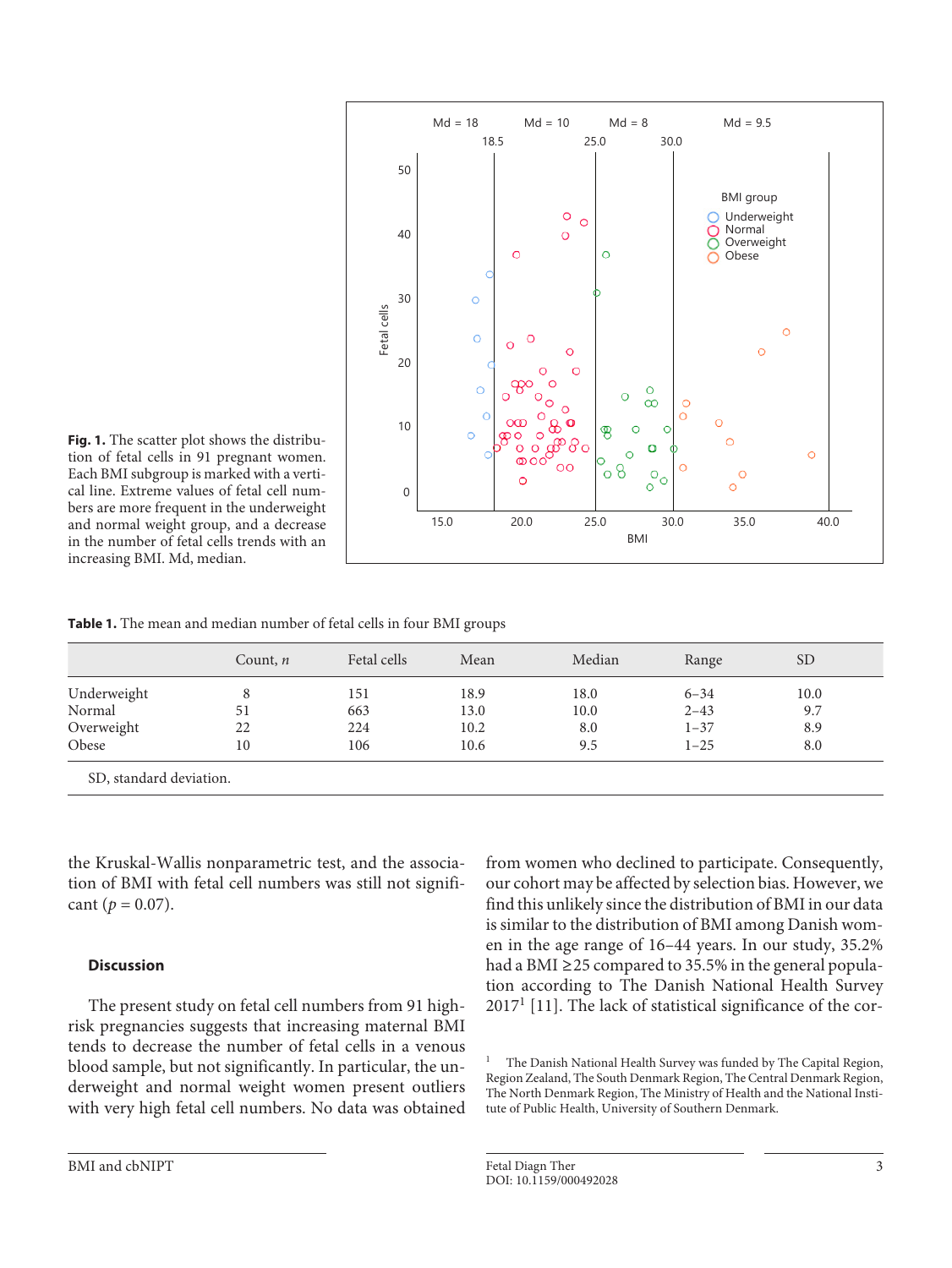

**Fig. 1.** The scatter plot shows the distribution of fetal cells in 91 pregnant women. Each BMI subgroup is marked with a vertical line. Extreme values of fetal cell numbers are more frequent in the underweight and normal weight group, and a decrease in the number of fetal cells trends with an increasing BMI. Md, median.

**Table 1.** The mean and median number of fetal cells in four BMI groups

|             | Count, $n$ | Fetal cells | Mean | Median | Range    | <b>SD</b> |
|-------------|------------|-------------|------|--------|----------|-----------|
| Underweight | 8          | 151         | 18.9 | 18.0   | $6 - 34$ | 10.0      |
| Normal      | 51         | 663         | 13.0 | 10.0   | $2 - 43$ | 9.7       |
| Overweight  | 22         | 224         | 10.2 | 8.0    | $1 - 37$ | 8.9       |
| Obese       | 10         | 106         | 10.6 | 9.5    | $1 - 25$ | 8.0       |

the Kruskal-Wallis nonparametric test, and the association of BMI with fetal cell numbers was still not significant ( $p = 0.07$ ).

### **Discussion**

The present study on fetal cell numbers from 91 highrisk pregnancies suggests that increasing maternal BMI tends to decrease the number of fetal cells in a venous blood sample, but not significantly. In particular, the underweight and normal weight women present outliers with very high fetal cell numbers. No data was obtained from women who declined to participate. Consequently, our cohort may be affected by selection bias. However, we find this unlikely since the distribution of BMI in our data is similar to the distribution of BMI among Danish women in the age range of 16–44 years. In our study, 35.2% had a BMI ≥25 compared to 35.5% in the general population according to The Danish National Health Survey  $2017<sup>1</sup>$  [\[11\]](#page-3-0). The lack of statistical significance of the cor-

<sup>&</sup>lt;sup>1</sup> The Danish National Health Survey was funded by The Capital Region, Region Zealand, The South Denmark Region, The Central Denmark Region, The North Denmark Region, The Ministry of Health and the National Institute of Public Health, University of Southern Denmark.